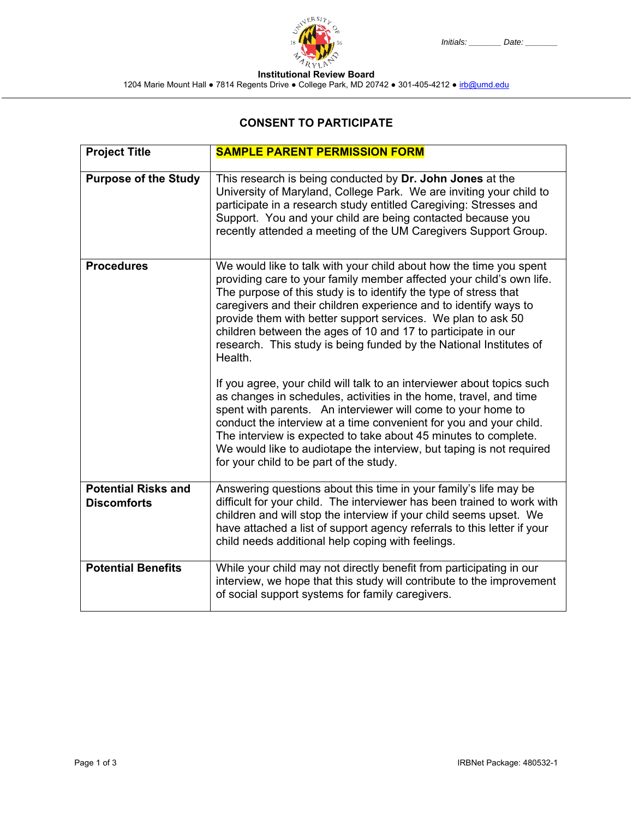## **CONSENT TO PARTICIPATE**

| <b>Project Title</b>                             | <b>SAMPLE PARENT PERMISSION FORM</b>                                                                                                                                                                                                                                                                                                                                                                                                                                                                |  |
|--------------------------------------------------|-----------------------------------------------------------------------------------------------------------------------------------------------------------------------------------------------------------------------------------------------------------------------------------------------------------------------------------------------------------------------------------------------------------------------------------------------------------------------------------------------------|--|
| <b>Purpose of the Study</b>                      | This research is being conducted by Dr. John Jones at the<br>University of Maryland, College Park. We are inviting your child to<br>participate in a research study entitled Caregiving: Stresses and<br>Support. You and your child are being contacted because you<br>recently attended a meeting of the UM Caregivers Support Group.                                                                                                                                                             |  |
| <b>Procedures</b>                                | We would like to talk with your child about how the time you spent<br>providing care to your family member affected your child's own life.<br>The purpose of this study is to identify the type of stress that<br>caregivers and their children experience and to identify ways to<br>provide them with better support services. We plan to ask 50<br>children between the ages of 10 and 17 to participate in our<br>research. This study is being funded by the National Institutes of<br>Health. |  |
|                                                  | If you agree, your child will talk to an interviewer about topics such<br>as changes in schedules, activities in the home, travel, and time<br>spent with parents. An interviewer will come to your home to<br>conduct the interview at a time convenient for you and your child.<br>The interview is expected to take about 45 minutes to complete.<br>We would like to audiotape the interview, but taping is not required<br>for your child to be part of the study.                             |  |
| <b>Potential Risks and</b><br><b>Discomforts</b> | Answering questions about this time in your family's life may be<br>difficult for your child. The interviewer has been trained to work with                                                                                                                                                                                                                                                                                                                                                         |  |
|                                                  | children and will stop the interview if your child seems upset. We<br>have attached a list of support agency referrals to this letter if your<br>child needs additional help coping with feelings.                                                                                                                                                                                                                                                                                                  |  |
| <b>Potential Benefits</b>                        | While your child may not directly benefit from participating in our<br>interview, we hope that this study will contribute to the improvement<br>of social support systems for family caregivers.                                                                                                                                                                                                                                                                                                    |  |

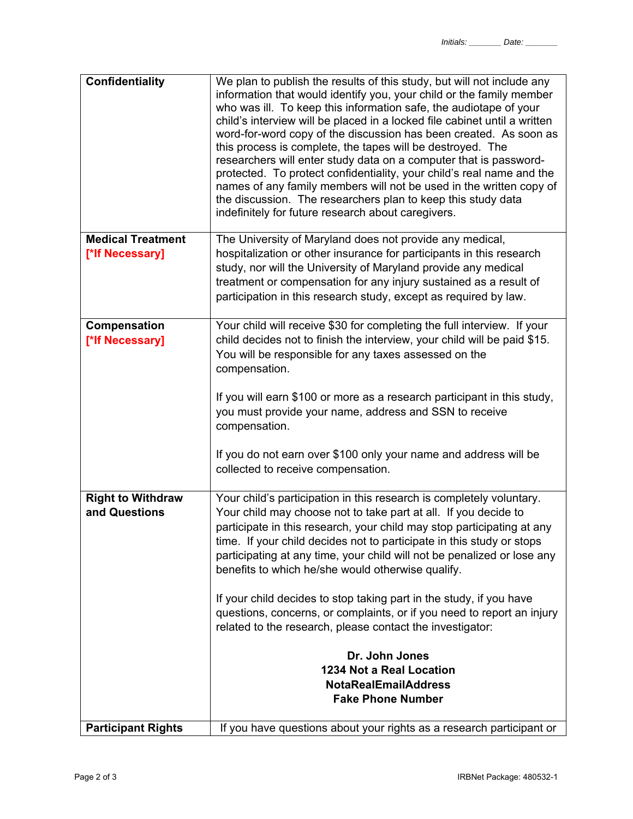| <b>Confidentiality</b>                      | We plan to publish the results of this study, but will not include any<br>information that would identify you, your child or the family member<br>who was ill. To keep this information safe, the audiotape of your<br>child's interview will be placed in a locked file cabinet until a written<br>word-for-word copy of the discussion has been created. As soon as<br>this process is complete, the tapes will be destroyed. The<br>researchers will enter study data on a computer that is password-<br>protected. To protect confidentiality, your child's real name and the<br>names of any family members will not be used in the written copy of<br>the discussion. The researchers plan to keep this study data<br>indefinitely for future research about caregivers. |
|---------------------------------------------|--------------------------------------------------------------------------------------------------------------------------------------------------------------------------------------------------------------------------------------------------------------------------------------------------------------------------------------------------------------------------------------------------------------------------------------------------------------------------------------------------------------------------------------------------------------------------------------------------------------------------------------------------------------------------------------------------------------------------------------------------------------------------------|
| <b>Medical Treatment</b><br>[*lf Necessary] | The University of Maryland does not provide any medical,<br>hospitalization or other insurance for participants in this research<br>study, nor will the University of Maryland provide any medical<br>treatment or compensation for any injury sustained as a result of<br>participation in this research study, except as required by law.                                                                                                                                                                                                                                                                                                                                                                                                                                    |
| Compensation<br>[*lf Necessary]             | Your child will receive \$30 for completing the full interview. If your<br>child decides not to finish the interview, your child will be paid \$15.<br>You will be responsible for any taxes assessed on the<br>compensation.<br>If you will earn \$100 or more as a research participant in this study,<br>you must provide your name, address and SSN to receive<br>compensation.<br>If you do not earn over \$100 only your name and address will be<br>collected to receive compensation.                                                                                                                                                                                                                                                                                  |
| <b>Right to Withdraw</b><br>and Questions   | Your child's participation in this research is completely voluntary.<br>Your child may choose not to take part at all. If you decide to<br>participate in this research, your child may stop participating at any<br>time. If your child decides not to participate in this study or stops<br>participating at any time, your child will not be penalized or lose any<br>benefits to which he/she would otherwise qualify.<br>If your child decides to stop taking part in the study, if you have<br>questions, concerns, or complaints, or if you need to report an injury<br>related to the research, please contact the investigator:<br>Dr. John Jones<br>1234 Not a Real Location<br><b>NotaRealEmailAddress</b><br><b>Fake Phone Number</b>                              |
| <b>Participant Rights</b>                   | If you have questions about your rights as a research participant or                                                                                                                                                                                                                                                                                                                                                                                                                                                                                                                                                                                                                                                                                                           |